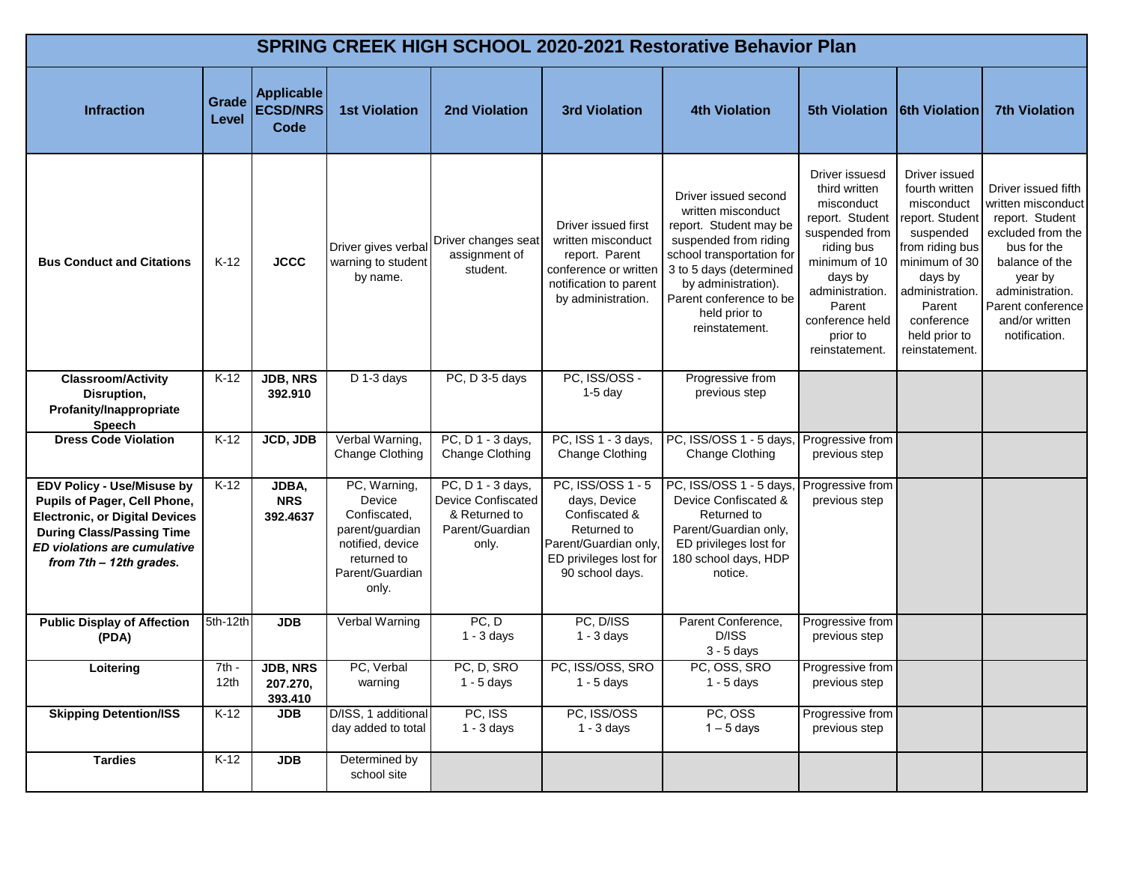|                                                                                                                                                                                                           | <b>SPRING CREEK HIGH SCHOOL 2020-2021 Restorative Behavior Plan</b> |                                              |                                                                                                                          |                                                                                             |                                                                                                                                         |                                                                                                                                                                                                                                            |                                                                                                                                                                                                            |                                                                                                                                                                                                            |                                                                                                                                                                                                          |  |  |  |
|-----------------------------------------------------------------------------------------------------------------------------------------------------------------------------------------------------------|---------------------------------------------------------------------|----------------------------------------------|--------------------------------------------------------------------------------------------------------------------------|---------------------------------------------------------------------------------------------|-----------------------------------------------------------------------------------------------------------------------------------------|--------------------------------------------------------------------------------------------------------------------------------------------------------------------------------------------------------------------------------------------|------------------------------------------------------------------------------------------------------------------------------------------------------------------------------------------------------------|------------------------------------------------------------------------------------------------------------------------------------------------------------------------------------------------------------|----------------------------------------------------------------------------------------------------------------------------------------------------------------------------------------------------------|--|--|--|
| <b>Infraction</b>                                                                                                                                                                                         | Grade<br>Level                                                      | <b>Applicable</b><br><b>ECSD/NRS</b><br>Code | <b>1st Violation</b>                                                                                                     | <b>2nd Violation</b>                                                                        | <b>3rd Violation</b>                                                                                                                    | <b>4th Violation</b>                                                                                                                                                                                                                       | <b>5th Violation</b>                                                                                                                                                                                       | <b>6th Violation</b>                                                                                                                                                                                       | <b>7th Violation</b>                                                                                                                                                                                     |  |  |  |
| <b>Bus Conduct and Citations</b>                                                                                                                                                                          | $K-12$                                                              | <b>JCCC</b>                                  | Driver gives verbal<br>warning to student<br>by name.                                                                    | Driver changes seat<br>assignment of<br>student.                                            | Driver issued first<br>written misconduct<br>report. Parent<br>conference or writter<br>notification to parent<br>by administration.    | Driver issued second<br>written misconduct<br>report. Student may be<br>suspended from riding<br>school transportation for<br>3 to 5 days (determined<br>by administration).<br>Parent conference to be<br>held prior to<br>reinstatement. | Driver issuesd<br>third written<br>misconduct<br>report. Student<br>suspended from<br>riding bus<br>minimum of 10<br>days by<br>administration.<br>Parent<br>conference held<br>prior to<br>reinstatement. | Driver issued<br>fourth written<br>misconduct<br>report. Student<br>suspended<br>from riding bus<br>minimum of 30<br>days by<br>administration.<br>Parent<br>conference<br>held prior to<br>reinstatement. | Driver issued fifth<br>written misconduct<br>report. Student<br>excluded from the<br>bus for the<br>balance of the<br>year by<br>administration.<br>Parent conference<br>and/or written<br>notification. |  |  |  |
| <b>Classroom/Activity</b><br>Disruption,<br>Profanity/Inappropriate<br>Speech                                                                                                                             | $K-12$                                                              | <b>JDB, NRS</b><br>392.910                   | D 1-3 days                                                                                                               | PC, D 3-5 days                                                                              | PC, ISS/OSS -<br>$1-5$ day                                                                                                              | Progressive from<br>previous step                                                                                                                                                                                                          |                                                                                                                                                                                                            |                                                                                                                                                                                                            |                                                                                                                                                                                                          |  |  |  |
| <b>Dress Code Violation</b>                                                                                                                                                                               | $K-12$                                                              | JCD, JDB                                     | Verbal Warning,<br>Change Clothing                                                                                       | PC, D 1 - 3 days,<br>Change Clothing                                                        | PC, ISS 1 - 3 days,<br>Change Clothing                                                                                                  | PC, ISS/OSS 1 - 5 days,<br>Change Clothing                                                                                                                                                                                                 | Progressive from<br>previous step                                                                                                                                                                          |                                                                                                                                                                                                            |                                                                                                                                                                                                          |  |  |  |
| <b>EDV Policy - Use/Misuse by</b><br>Pupils of Pager, Cell Phone,<br><b>Electronic, or Digital Devices</b><br><b>During Class/Passing Time</b><br>ED violations are cumulative<br>from 7th - 12th grades. | $K-12$                                                              | JDBA,<br><b>NRS</b><br>392.4637              | PC, Warning,<br>Device<br>Confiscated,<br>parent/guardian<br>notified, device<br>returned to<br>Parent/Guardian<br>only. | PC, D 1 - 3 days,<br><b>Device Confiscated</b><br>& Returned to<br>Parent/Guardian<br>only. | PC, ISS/OSS 1 - 5<br>days, Device<br>Confiscated &<br>Returned to<br>Parent/Guardian only,<br>ED privileges lost for<br>90 school days. | PC, ISS/OSS 1 - 5 days,<br>Device Confiscated &<br>Returned to<br>Parent/Guardian only,<br>ED privileges lost for<br>180 school days, HDP<br>notice.                                                                                       | Progressive from<br>previous step                                                                                                                                                                          |                                                                                                                                                                                                            |                                                                                                                                                                                                          |  |  |  |
| <b>Public Display of Affection</b><br>(PDA)                                                                                                                                                               | 5th-12th                                                            | <b>JDB</b>                                   | Verbal Warning                                                                                                           | PC, D<br>$1 - 3$ days                                                                       | PC, D/ISS<br>$1 - 3$ days                                                                                                               | Parent Conference,<br>D/ISS<br>$3 - 5$ days                                                                                                                                                                                                | Progressive from<br>previous step                                                                                                                                                                          |                                                                                                                                                                                                            |                                                                                                                                                                                                          |  |  |  |
| Loitering                                                                                                                                                                                                 | $7th -$<br>12 <sub>th</sub>                                         | <b>JDB, NRS</b><br>207.270,<br>393.410       | PC, Verbal<br>warning                                                                                                    | PC, D, SRO<br>$1 - 5$ days                                                                  | PC, ISS/OSS, SRO<br>$1 - 5$ days                                                                                                        | PC, OSS, SRO<br>1 - 5 days                                                                                                                                                                                                                 | Progressive from<br>previous step                                                                                                                                                                          |                                                                                                                                                                                                            |                                                                                                                                                                                                          |  |  |  |
| <b>Skipping Detention/ISS</b>                                                                                                                                                                             | $K-12$                                                              | <b>JDB</b>                                   | D/ISS, 1 additional<br>day added to total                                                                                | PC, ISS<br>$1 - 3$ days                                                                     | PC, ISS/OSS<br>$1 - 3$ days                                                                                                             | PC, OSS<br>$1 - 5$ days                                                                                                                                                                                                                    | Progressive from<br>previous step                                                                                                                                                                          |                                                                                                                                                                                                            |                                                                                                                                                                                                          |  |  |  |
| <b>Tardies</b>                                                                                                                                                                                            | $K-12$                                                              | <b>JDB</b>                                   | Determined by<br>school site                                                                                             |                                                                                             |                                                                                                                                         |                                                                                                                                                                                                                                            |                                                                                                                                                                                                            |                                                                                                                                                                                                            |                                                                                                                                                                                                          |  |  |  |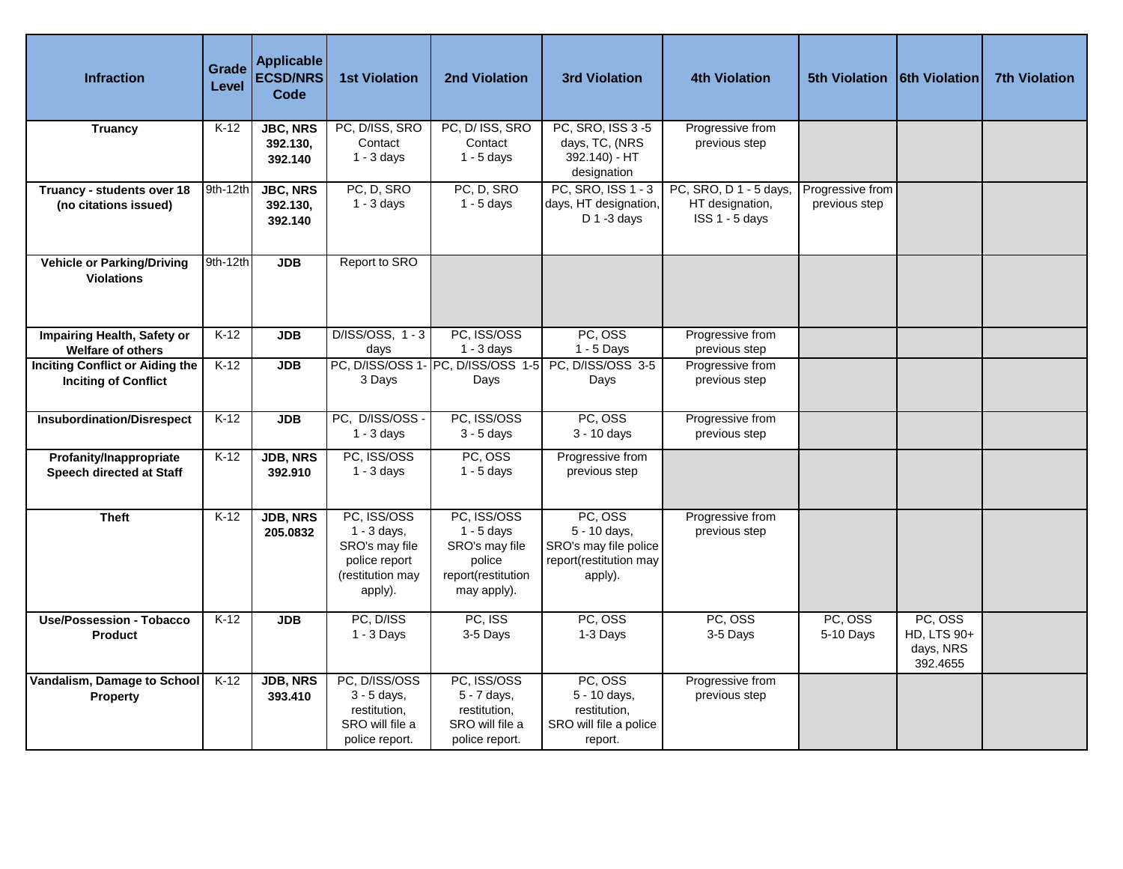| <b>Infraction</b>                                                     | Grade<br>Level | <b>Applicable</b><br><b>ECSD/NRS</b><br>Code | <b>1st Violation</b>                                                                           | <b>2nd Violation</b>                                                                         | <b>3rd Violation</b>                                                                  | <b>4th Violation</b>                                        | <b>5th Violation</b>              | <b>6th Violation</b>                            | <b>7th Violation</b> |
|-----------------------------------------------------------------------|----------------|----------------------------------------------|------------------------------------------------------------------------------------------------|----------------------------------------------------------------------------------------------|---------------------------------------------------------------------------------------|-------------------------------------------------------------|-----------------------------------|-------------------------------------------------|----------------------|
| <b>Truancy</b>                                                        | $K-12$         | <b>JBC, NRS</b><br>392.130,<br>392.140       | PC, D/ISS, SRO<br>Contact<br>$1 - 3$ days                                                      | PC, D/ ISS, SRO<br>Contact<br>$1 - 5$ days                                                   | PC, SRO, ISS 3-5<br>days, TC, (NRS<br>392.140) - HT<br>designation                    | Progressive from<br>previous step                           |                                   |                                                 |                      |
| Truancy - students over 18<br>(no citations issued)                   | 9th-12th       | <b>JBC, NRS</b><br>392.130,<br>392.140       | PC, D, SRO<br>$1 - 3$ days                                                                     | PC, D, SRO<br>$1 - 5$ days                                                                   | PC, SRO, ISS 1 - 3<br>days, HT designation,<br>$D$ 1 -3 days                          | PC, SRO, D 1 - 5 days,<br>HT designation,<br>ISS 1 - 5 days | Progressive from<br>previous step |                                                 |                      |
| <b>Vehicle or Parking/Driving</b><br><b>Violations</b>                | 9th-12th       | <b>JDB</b>                                   | Report to SRO                                                                                  |                                                                                              |                                                                                       |                                                             |                                   |                                                 |                      |
| Impairing Health, Safety or<br>Welfare of others                      | $K-12$         | <b>JDB</b>                                   | D/ISS/OSS, 1 - 3<br>days                                                                       | PC, ISS/OSS<br>$1 - 3$ days                                                                  | PC, OSS<br>1 - 5 Days                                                                 | Progressive from<br>previous step                           |                                   |                                                 |                      |
| <b>Inciting Conflict or Aiding the</b><br><b>Inciting of Conflict</b> | $K-12$         | <b>JDB</b>                                   | 3 Days                                                                                         | PC, D/ISS/OSS 1- PC, D/ISS/OSS 1-5<br>Days                                                   | PC, D/ISS/OSS 3-5<br>Days                                                             | Progressive from<br>previous step                           |                                   |                                                 |                      |
| <b>Insubordination/Disrespect</b>                                     | $K-12$         | <b>JDB</b>                                   | PC, D/ISS/OSS -<br>$1 - 3$ days                                                                | PC, ISS/OSS<br>$3 - 5$ days                                                                  | PC, OSS<br>$3 - 10$ days                                                              | Progressive from<br>previous step                           |                                   |                                                 |                      |
| Profanity/Inappropriate<br>Speech directed at Staff                   | $K-12$         | <b>JDB, NRS</b><br>392.910                   | PC, ISS/OSS<br>$1 - 3$ days                                                                    | PC, OSS<br>$1 - 5$ days                                                                      | Progressive from<br>previous step                                                     |                                                             |                                   |                                                 |                      |
| <b>Theft</b>                                                          | $K-12$         | <b>JDB, NRS</b><br>205.0832                  | PC, ISS/OSS<br>$1 - 3$ days,<br>SRO's may file<br>police report<br>(restitution may<br>apply). | PC, ISS/OSS<br>$1 - 5$ days<br>SRO's may file<br>police<br>report(restitution<br>may apply). | PC, OSS<br>5 - 10 days,<br>SRO's may file police<br>report(restitution may<br>apply). | Progressive from<br>previous step                           |                                   |                                                 |                      |
| <b>Use/Possession - Tobacco</b><br><b>Product</b>                     | $K-12$         | <b>JDB</b>                                   | PC, D/ISS<br>$1 - 3$ Days                                                                      | PC, ISS<br>3-5 Days                                                                          | PC, OSS<br>1-3 Days                                                                   | PC, OSS<br>3-5 Days                                         | PC, OSS<br>5-10 Days              | PC, OSS<br>HD, LTS 90+<br>days, NRS<br>392.4655 |                      |
| Vandalism, Damage to School<br>Property                               | $K-12$         | <b>JDB, NRS</b><br>393.410                   | PC, D/ISS/OSS<br>3 - 5 days,<br>restitution,<br>SRO will file a<br>police report.              | PC, ISS/OSS<br>5 - 7 days,<br>restitution,<br>SRO will file a<br>police report.              | PC, OSS<br>5 - 10 days,<br>restitution,<br>SRO will file a police<br>report.          | Progressive from<br>previous step                           |                                   |                                                 |                      |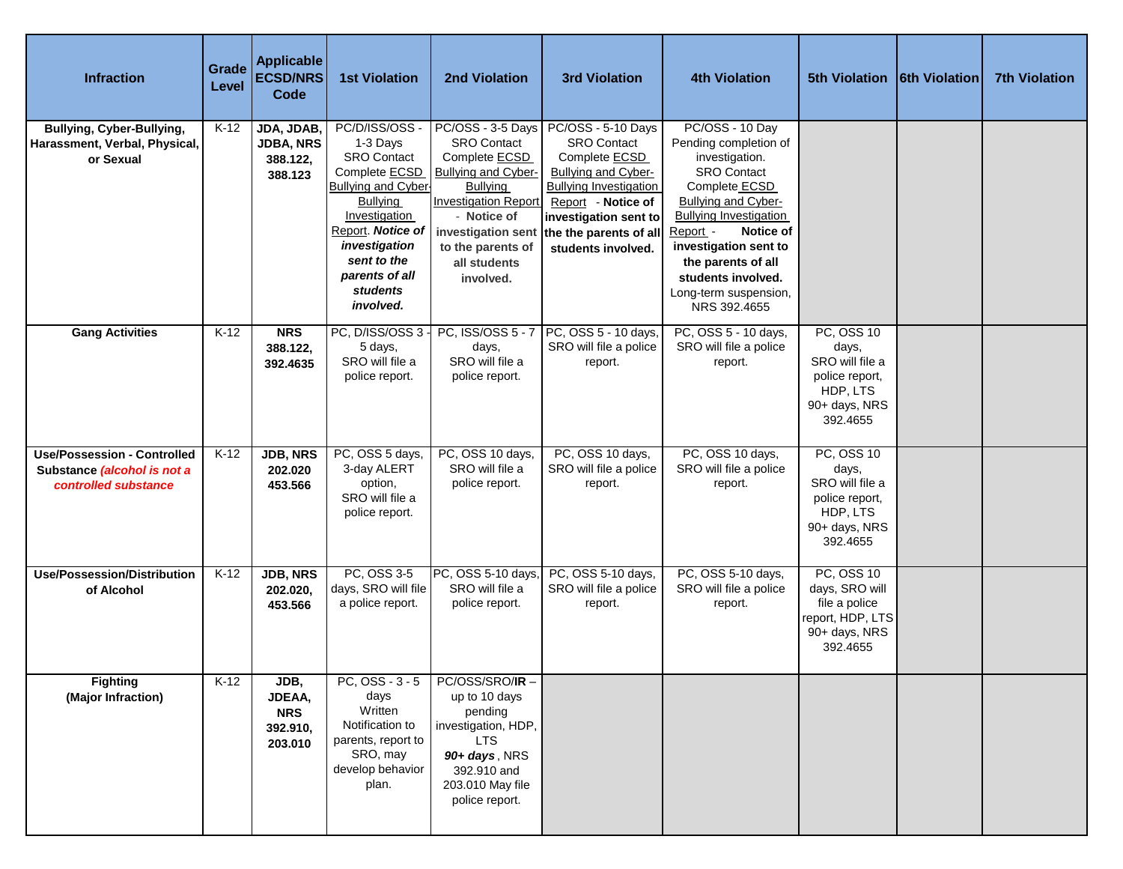| <b>Infraction</b>                                                                         | Grade<br>Level | <b>Applicable</b><br><b>ECSD/NRS</b><br>Code          | <b>1st Violation</b>                                                                                                                                                                                                                              | 2nd Violation                                                                                                                                                                                                    | <b>3rd Violation</b>                                                                                                                                                                                                                              | <b>4th Violation</b>                                                                                                                                                                                                                                                                             | 5th Violation 6th Violation                                                                              | <b>7th Violation</b> |
|-------------------------------------------------------------------------------------------|----------------|-------------------------------------------------------|---------------------------------------------------------------------------------------------------------------------------------------------------------------------------------------------------------------------------------------------------|------------------------------------------------------------------------------------------------------------------------------------------------------------------------------------------------------------------|---------------------------------------------------------------------------------------------------------------------------------------------------------------------------------------------------------------------------------------------------|--------------------------------------------------------------------------------------------------------------------------------------------------------------------------------------------------------------------------------------------------------------------------------------------------|----------------------------------------------------------------------------------------------------------|----------------------|
| <b>Bullying, Cyber-Bullying,</b><br>Harassment, Verbal, Physical,<br>or Sexual            | $K-12$         | JDA, JDAB,<br><b>JDBA, NRS</b><br>388.122,<br>388.123 | PC/D/ISS/OSS -<br>1-3 Days<br><b>SRO Contact</b><br>Complete <b>ECSD</b><br><b>Bullying and Cyber-</b><br><b>Bullying</b><br>Investigation<br>Report. Notice of<br>investigation<br>sent to the<br>parents of all<br><b>students</b><br>involved. | PC/OSS - 3-5 Days<br><b>SRO Contact</b><br>Complete <b>ECSD</b><br><b>Bullying and Cyber-</b><br><b>Bullying</b><br><b>Investigation Report</b><br>- Notice of<br>to the parents of<br>all students<br>involved. | PC/OSS - 5-10 Days<br><b>SRO Contact</b><br>Complete <b>ECSD</b><br><b>Bullying and Cyber-</b><br><b>Bullying Investigation</b><br>Report - Notice of<br>investigation sent to<br>investigation sent the the parents of all<br>students involved. | PC/OSS - 10 Day<br>Pending completion of<br>investigation.<br><b>SRO Contact</b><br>Complete ECSD<br>Bullying and Cyber-<br><b>Bullying Investigation</b><br>Notice of<br>Report -<br>investigation sent to<br>the parents of all<br>students involved.<br>Long-term suspension,<br>NRS 392.4655 |                                                                                                          |                      |
| <b>Gang Activities</b>                                                                    | $K-12$         | <b>NRS</b><br>388.122,<br>392.4635                    | PC, D/ISS/OSS 3<br>5 days,<br>SRO will file a<br>police report.                                                                                                                                                                                   | PC, ISS/OSS 5 - 7<br>days,<br>SRO will file a<br>police report.                                                                                                                                                  | PC, OSS 5 - 10 days,<br>SRO will file a police<br>report.                                                                                                                                                                                         | PC, OSS 5 - 10 days,<br>SRO will file a police<br>report.                                                                                                                                                                                                                                        | <b>PC, OSS 10</b><br>days,<br>SRO will file a<br>police report,<br>HDP, LTS<br>90+ days, NRS<br>392.4655 |                      |
| <b>Use/Possession - Controlled</b><br>Substance (alcohol is not a<br>controlled substance | $K-12$         | <b>JDB, NRS</b><br>202.020<br>453.566                 | PC, OSS 5 days,<br>3-day ALERT<br>option,<br>SRO will file a<br>police report.                                                                                                                                                                    | PC, OSS 10 days,<br>SRO will file a<br>police report.                                                                                                                                                            | PC, OSS 10 days,<br>SRO will file a police<br>report.                                                                                                                                                                                             | PC, OSS 10 days,<br>SRO will file a police<br>report.                                                                                                                                                                                                                                            | <b>PC, OSS 10</b><br>days,<br>SRO will file a<br>police report,<br>HDP, LTS<br>90+ days, NRS<br>392.4655 |                      |
| <b>Use/Possession/Distribution</b><br>of Alcohol                                          | $K-12$         | JDB, NRS<br>202.020,<br>453.566                       | PC, OSS 3-5<br>days, SRO will file<br>a police report.                                                                                                                                                                                            | PC, OSS 5-10 days,<br>SRO will file a<br>police report.                                                                                                                                                          | PC, OSS 5-10 days,<br>SRO will file a police<br>report.                                                                                                                                                                                           | PC, OSS 5-10 days,<br>SRO will file a police<br>report.                                                                                                                                                                                                                                          | <b>PC, OSS 10</b><br>days, SRO will<br>file a police<br>report, HDP, LTS<br>90+ days, NRS<br>392.4655    |                      |
| <b>Fighting</b><br>(Major Infraction)                                                     | $K-12$         | JDB,<br>JDEAA,<br><b>NRS</b><br>392.910,<br>203.010   | $PC, OSS - 3 - 5$<br>days<br>Written<br>Notification to<br>parents, report to<br>SRO, may<br>develop behavior<br>plan.                                                                                                                            | PC/OSS/SRO/IR-<br>up to 10 days<br>pending<br>investigation, HDP,<br><b>LTS</b><br>90+ days, NRS<br>392.910 and<br>203.010 May file<br>police report.                                                            |                                                                                                                                                                                                                                                   |                                                                                                                                                                                                                                                                                                  |                                                                                                          |                      |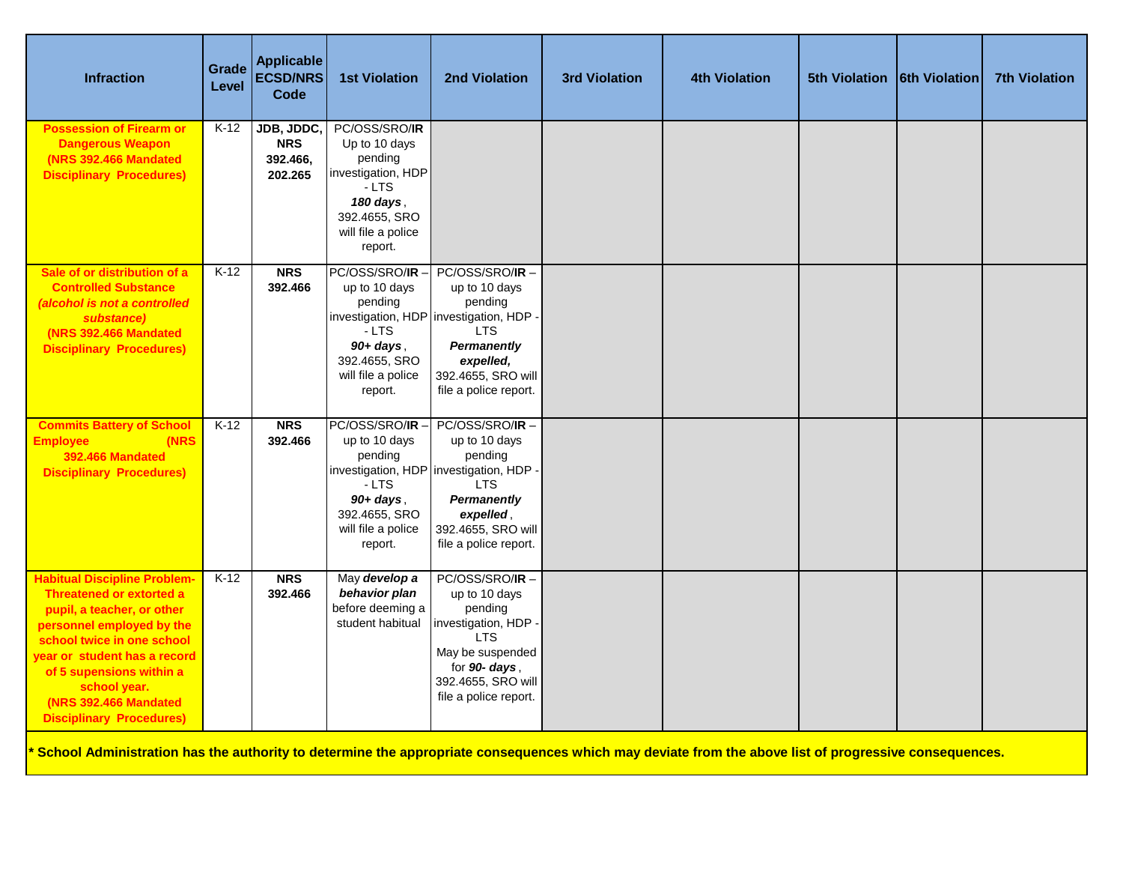| <b>Infraction</b>                                                                                                                                                                                                                                                                                               | Grade<br>Level | <b>Applicable</b><br><b>ECSD/NRS</b><br><b>Code</b> | <b>1st Violation</b>                                                                                                                     | <b>2nd Violation</b>                                                                                                                                                         | <b>3rd Violation</b> | <b>4th Violation</b> | 5th Violation   6th Violation | <b>7th Violation</b> |
|-----------------------------------------------------------------------------------------------------------------------------------------------------------------------------------------------------------------------------------------------------------------------------------------------------------------|----------------|-----------------------------------------------------|------------------------------------------------------------------------------------------------------------------------------------------|------------------------------------------------------------------------------------------------------------------------------------------------------------------------------|----------------------|----------------------|-------------------------------|----------------------|
| <b>Possession of Firearm or</b><br><b>Dangerous Weapon</b><br>(NRS 392.466 Mandated<br><b>Disciplinary Procedures)</b>                                                                                                                                                                                          | $K-12$         | JDB, JDDC,<br><b>NRS</b><br>392.466,<br>202.265     | PC/OSS/SRO/IR<br>Up to 10 days<br>pending<br>investigation, HDP<br>$-LTS$<br>180 days.<br>392.4655, SRO<br>will file a police<br>report. |                                                                                                                                                                              |                      |                      |                               |                      |
| Sale of or distribution of a<br><b>Controlled Substance</b><br>(alcohol is not a controlled<br>substance)<br><b>(NRS 392.466 Mandated)</b><br><b>Disciplinary Procedures)</b>                                                                                                                                   | $K-12$         | <b>NRS</b><br>392.466                               | PC/OSS/SRO/IR<br>up to 10 days<br>pending<br>$-LTS$<br>$90+ days$ ,<br>392.4655, SRO<br>will file a police<br>report.                    | PC/OSS/SRO/IR-<br>up to 10 days<br>pending<br>investigation, HDP investigation, HDP<br><b>LTS</b><br>Permanently<br>expelled,<br>392.4655, SRO will<br>file a police report. |                      |                      |                               |                      |
| <b>Commits Battery of School</b><br>(NRS<br><b>Employee</b><br>392.466 Mandated<br><b>Disciplinary Procedures)</b>                                                                                                                                                                                              | $K-12$         | <b>NRS</b><br>392.466                               | PC/OSS/SRO/IR<br>up to 10 days<br>pending<br>$-LTS$<br>$90+ days$ ,<br>392.4655, SRO<br>will file a police<br>report.                    | PC/OSS/SRO/IR-<br>up to 10 days<br>pending<br>investigation, HDP investigation, HDP<br><b>LTS</b><br>Permanently<br>expelled,<br>392.4655, SRO will<br>file a police report. |                      |                      |                               |                      |
| <b>Habitual Discipline Problem-</b><br><b>Threatened or extorted a</b><br>pupil, a teacher, or other<br>personnel employed by the<br>school twice in one school<br>vear or student has a record<br>of 5 supensions within a<br>school year.<br><b>(NRS 392.466 Mandated)</b><br><b>Disciplinary Procedures)</b> | $K-12$         | <b>NRS</b><br>392.466                               | May develop a<br>behavior plan<br>before deeming a<br>student habitual                                                                   | PC/OSS/SRO/IR-<br>up to 10 days<br>pending<br>investigation, HDP<br><b>LTS</b><br>May be suspended<br>for 90- days,<br>392.4655, SRO will<br>file a police report.           |                      |                      |                               |                      |

**\* School Administration has the authority to determine the appropriate consequences which may deviate from the above list of progressive consequences.**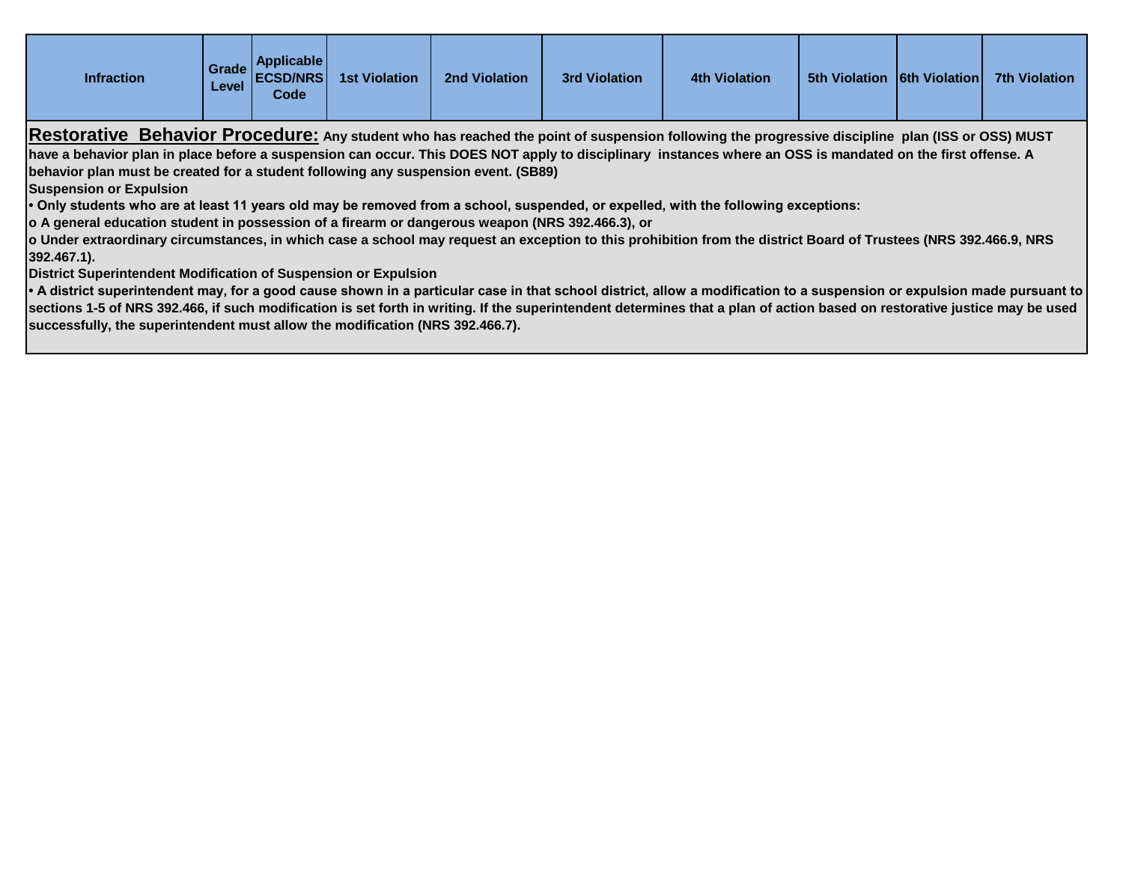| <b>Grade</b><br><b>Level</b>                                                                                                                                | Code | <b>1st Violation</b> | 2nd Violation            | <b>3rd Violation</b> | <b>4th Violation</b> |  |  | 7th Violation                                                                                                                                                                          |  |
|-------------------------------------------------------------------------------------------------------------------------------------------------------------|------|----------------------|--------------------------|----------------------|----------------------|--|--|----------------------------------------------------------------------------------------------------------------------------------------------------------------------------------------|--|
|                                                                                                                                                             |      |                      |                          |                      |                      |  |  |                                                                                                                                                                                        |  |
| have a behavior plan in place before a suspension can occur. This DOES NOT apply to disciplinary instances where an OSS is mandated on the first offense. A |      |                      |                          |                      |                      |  |  |                                                                                                                                                                                        |  |
| (SB89) behavior plan must be created for a student following any suspension event. (SB89)                                                                   |      |                      |                          |                      |                      |  |  |                                                                                                                                                                                        |  |
|                                                                                                                                                             |      |                      | Applicable I<br>ECSD/NRS |                      |                      |  |  | <b>5th Violation 16th Violation</b><br>Restorative Behavior Procedure: Any student who has reached the point of suspension following the progressive discipline plan (ISS or OSS) MUST |  |

**Suspension or Expulsion**

**• Only students who are at least 11 years old may be removed from a school, suspended, or expelled, with the following exceptions:**

**o A general education student in possession of a firearm or dangerous weapon (NRS 392.466.3), or**

**o Under extraordinary circumstances, in which case a school may request an exception to this prohibition from the district Board of Trustees (NRS 392.466.9, NRS 392.467.1).**

**District Superintendent Modification of Suspension or Expulsion**

**• A district superintendent may, for a good cause shown in a particular case in that school district, allow a modification to a suspension or expulsion made pursuant to sections 1-5 of NRS 392.466, if such modification is set forth in writing. If the superintendent determines that a plan of action based on restorative justice may be used successfully, the superintendent must allow the modification (NRS 392.466.7).**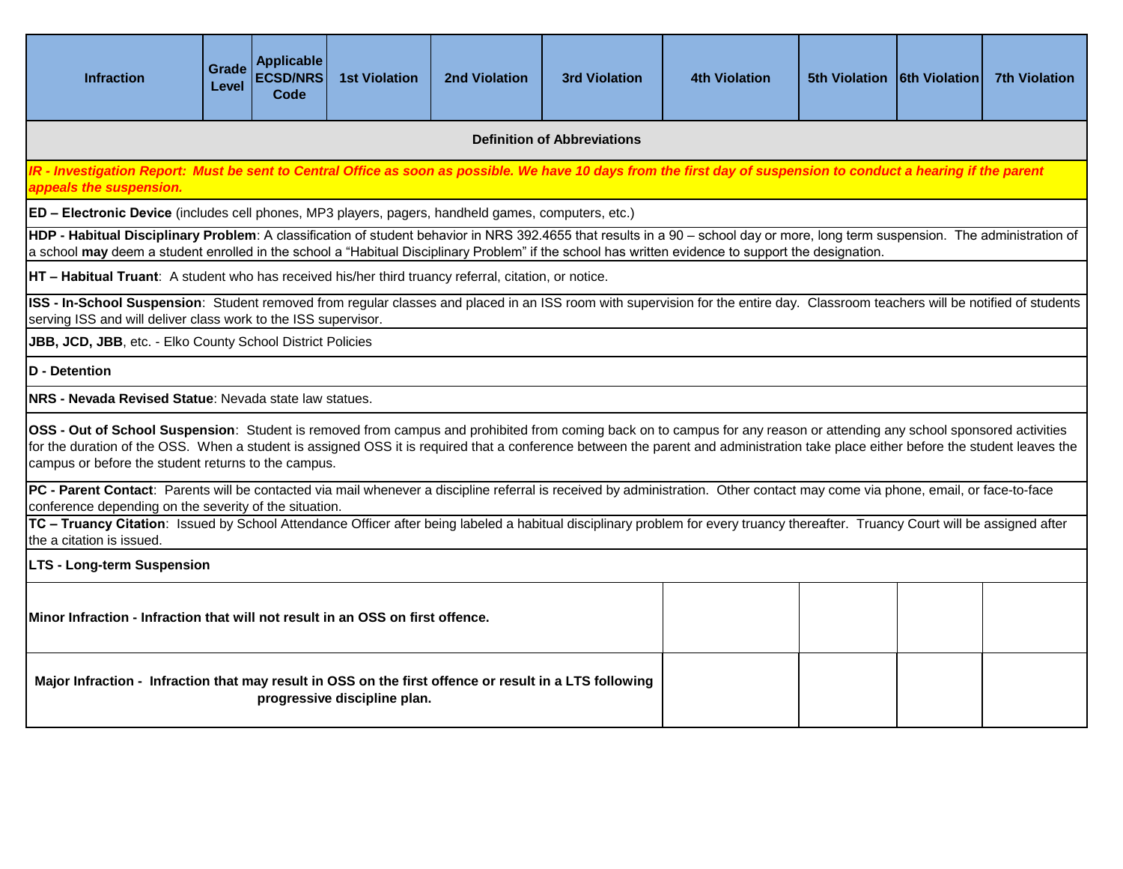| <b>Infraction</b>                                                                                                                                                                                                                                                                                                                                                                                                    | Grade<br>Level | <b>Applicable</b><br><b>ECSD/NRS</b><br>Code | <b>1st Violation</b>         | <b>2nd Violation</b> | <b>3rd Violation</b> | <b>4th Violation</b> | 5th Violation   6th Violation |  | <b>7th Violation</b> |  |  |
|----------------------------------------------------------------------------------------------------------------------------------------------------------------------------------------------------------------------------------------------------------------------------------------------------------------------------------------------------------------------------------------------------------------------|----------------|----------------------------------------------|------------------------------|----------------------|----------------------|----------------------|-------------------------------|--|----------------------|--|--|
| <b>Definition of Abbreviations</b>                                                                                                                                                                                                                                                                                                                                                                                   |                |                                              |                              |                      |                      |                      |                               |  |                      |  |  |
| IR - Investigation Report: Must be sent to Central Office as soon as possible. We have 10 days from the first day of suspension to conduct a hearing if the parent<br>appeals the suspension.                                                                                                                                                                                                                        |                |                                              |                              |                      |                      |                      |                               |  |                      |  |  |
| ED - Electronic Device (includes cell phones, MP3 players, pagers, handheld games, computers, etc.)                                                                                                                                                                                                                                                                                                                  |                |                                              |                              |                      |                      |                      |                               |  |                      |  |  |
| HDP - Habitual Disciplinary Problem: A classification of student behavior in NRS 392.4655 that results in a 90 - school day or more, long term suspension. The administration of<br>a school may deem a student enrolled in the school a "Habitual Disciplinary Problem" if the school has written evidence to support the designation.                                                                              |                |                                              |                              |                      |                      |                      |                               |  |                      |  |  |
| HT - Habitual Truant: A student who has received his/her third truancy referral, citation, or notice.                                                                                                                                                                                                                                                                                                                |                |                                              |                              |                      |                      |                      |                               |  |                      |  |  |
| ISS - In-School Suspension: Student removed from regular classes and placed in an ISS room with supervision for the entire day. Classroom teachers will be notified of students<br>serving ISS and will deliver class work to the ISS supervisor.                                                                                                                                                                    |                |                                              |                              |                      |                      |                      |                               |  |                      |  |  |
| JBB, JCD, JBB, etc. - Elko County School District Policies                                                                                                                                                                                                                                                                                                                                                           |                |                                              |                              |                      |                      |                      |                               |  |                      |  |  |
| <b>D</b> - Detention                                                                                                                                                                                                                                                                                                                                                                                                 |                |                                              |                              |                      |                      |                      |                               |  |                      |  |  |
| NRS - Nevada Revised Statue: Nevada state law statues.                                                                                                                                                                                                                                                                                                                                                               |                |                                              |                              |                      |                      |                      |                               |  |                      |  |  |
| OSS - Out of School Suspension: Student is removed from campus and prohibited from coming back on to campus for any reason or attending any school sponsored activities<br>for the duration of the OSS. When a student is assigned OSS it is required that a conference between the parent and administration take place either before the student leaves the<br>campus or before the student returns to the campus. |                |                                              |                              |                      |                      |                      |                               |  |                      |  |  |
| PC - Parent Contact: Parents will be contacted via mail whenever a discipline referral is received by administration. Other contact may come via phone, email, or face-to-face<br>conference depending on the severity of the situation.                                                                                                                                                                             |                |                                              |                              |                      |                      |                      |                               |  |                      |  |  |
| TC - Truancy Citation: Issued by School Attendance Officer after being labeled a habitual disciplinary problem for every truancy thereafter. Truancy Court will be assigned after<br>the a citation is issued.                                                                                                                                                                                                       |                |                                              |                              |                      |                      |                      |                               |  |                      |  |  |
| <b>LTS - Long-term Suspension</b>                                                                                                                                                                                                                                                                                                                                                                                    |                |                                              |                              |                      |                      |                      |                               |  |                      |  |  |
| Minor Infraction - Infraction that will not result in an OSS on first offence.                                                                                                                                                                                                                                                                                                                                       |                |                                              |                              |                      |                      |                      |                               |  |                      |  |  |
| Major Infraction - Infraction that may result in OSS on the first offence or result in a LTS following                                                                                                                                                                                                                                                                                                               |                |                                              | progressive discipline plan. |                      |                      |                      |                               |  |                      |  |  |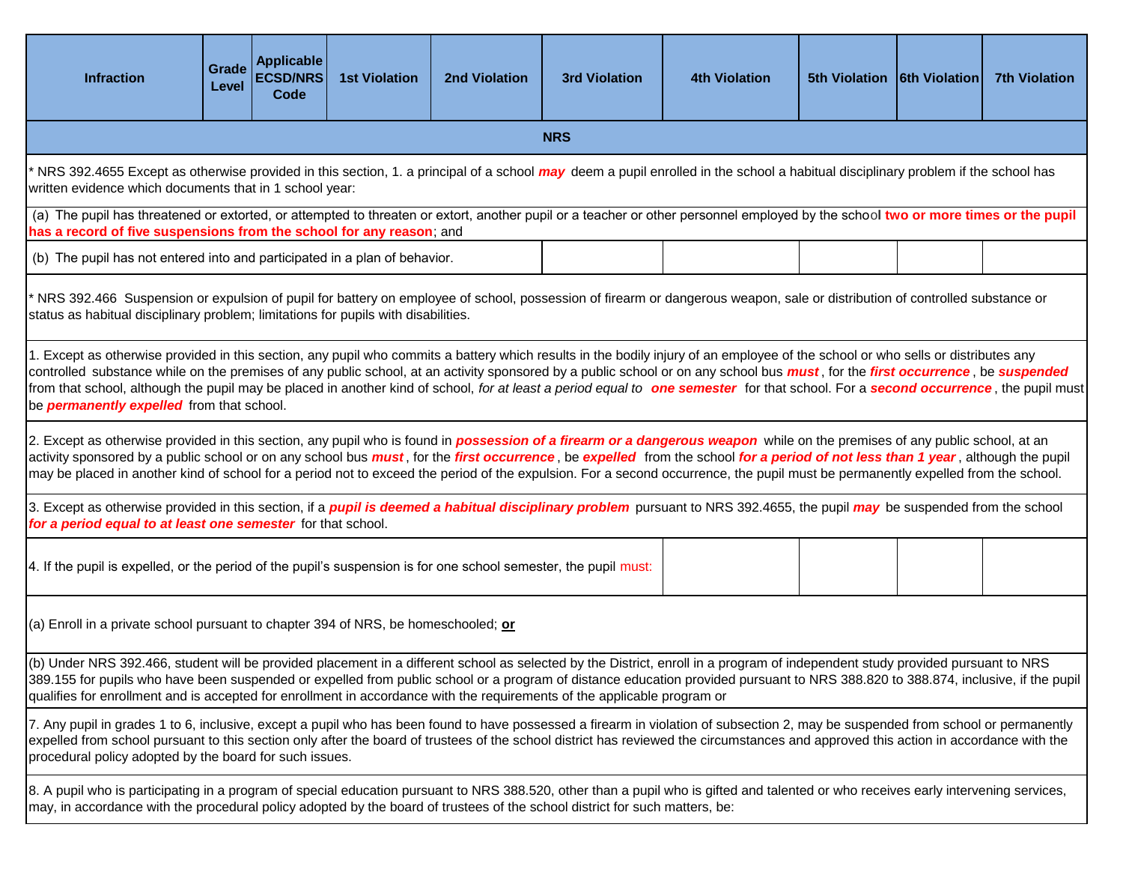| <b>Infraction</b>                                                                                                                                                                                                                                                                                                                                                                                                                                                                                                                                                                                                                   | Grade<br>Level                                                             | <b>Applicable</b><br><b>ECSD/NRS</b><br>Code | <b>1st Violation</b> | <b>2nd Violation</b> | <b>3rd Violation</b> | <b>4th Violation</b> | 5th Violation   6th Violation |  | <b>7th Violation</b> |  |  |
|-------------------------------------------------------------------------------------------------------------------------------------------------------------------------------------------------------------------------------------------------------------------------------------------------------------------------------------------------------------------------------------------------------------------------------------------------------------------------------------------------------------------------------------------------------------------------------------------------------------------------------------|----------------------------------------------------------------------------|----------------------------------------------|----------------------|----------------------|----------------------|----------------------|-------------------------------|--|----------------------|--|--|
| <b>NRS</b>                                                                                                                                                                                                                                                                                                                                                                                                                                                                                                                                                                                                                          |                                                                            |                                              |                      |                      |                      |                      |                               |  |                      |  |  |
| NRS 392.4655 Except as otherwise provided in this section, 1. a principal of a school may deem a pupil enrolled in the school a habitual disciplinary problem if the school has<br>written evidence which documents that in 1 school year:                                                                                                                                                                                                                                                                                                                                                                                          |                                                                            |                                              |                      |                      |                      |                      |                               |  |                      |  |  |
| (a) The pupil has threatened or extorted, or attempted to threaten or extort, another pupil or a teacher or other personnel employed by the school two or more times or the pupil<br>has a record of five suspensions from the school for any reason; and                                                                                                                                                                                                                                                                                                                                                                           |                                                                            |                                              |                      |                      |                      |                      |                               |  |                      |  |  |
|                                                                                                                                                                                                                                                                                                                                                                                                                                                                                                                                                                                                                                     | (b) The pupil has not entered into and participated in a plan of behavior. |                                              |                      |                      |                      |                      |                               |  |                      |  |  |
| NRS 392.466 Suspension or expulsion of pupil for battery on employee of school, possession of firearm or dangerous weapon, sale or distribution of controlled substance or<br>status as habitual disciplinary problem; limitations for pupils with disabilities.                                                                                                                                                                                                                                                                                                                                                                    |                                                                            |                                              |                      |                      |                      |                      |                               |  |                      |  |  |
| 1. Except as otherwise provided in this section, any pupil who commits a battery which results in the bodily injury of an employee of the school or who sells or distributes any<br>controlled substance while on the premises of any public school, at an activity sponsored by a public school or on any school bus <i>must</i> , for the first occurrence, be suspended<br>from that school, although the pupil may be placed in another kind of school, for at least a period equal to <b>one semester</b> for that school. For a <b>second occurrence</b> , the pupil must<br>be <b>permanently expelled</b> from that school. |                                                                            |                                              |                      |                      |                      |                      |                               |  |                      |  |  |
| 2. Except as otherwise provided in this section, any pupil who is found in <i>possession of a firearm or a dangerous weapon</i> while on the premises of any public school, at an<br>activity sponsored by a public school or on any school bus <i>must</i> , for the first occurrence, be expelled from the school for a period of not less than 1 year, although the pupil<br>may be placed in another kind of school for a period not to exceed the period of the expulsion. For a second occurrence, the pupil must be permanently expelled from the school.                                                                    |                                                                            |                                              |                      |                      |                      |                      |                               |  |                      |  |  |
| 3. Except as otherwise provided in this section, if a <i>pupil is deemed a habitual disciplinary problem</i> pursuant to NRS 392.4655, the pupil <i>may</i> be suspended from the school<br>for a period equal to at least one semester for that school.                                                                                                                                                                                                                                                                                                                                                                            |                                                                            |                                              |                      |                      |                      |                      |                               |  |                      |  |  |
| 4. If the pupil is expelled, or the period of the pupil's suspension is for one school semester, the pupil must:                                                                                                                                                                                                                                                                                                                                                                                                                                                                                                                    |                                                                            |                                              |                      |                      |                      |                      |                               |  |                      |  |  |
| (a) Enroll in a private school pursuant to chapter 394 of NRS, be homeschooled; or                                                                                                                                                                                                                                                                                                                                                                                                                                                                                                                                                  |                                                                            |                                              |                      |                      |                      |                      |                               |  |                      |  |  |
| (b) Under NRS 392.466, student will be provided placement in a different school as selected by the District, enroll in a program of independent study provided pursuant to NRS<br>389.155 for pupils who have been suspended or expelled from public school or a program of distance education provided pursuant to NRS 388.820 to 388.874, inclusive, if the pupil<br>qualifies for enrollment and is accepted for enrollment in accordance with the requirements of the applicable program or                                                                                                                                     |                                                                            |                                              |                      |                      |                      |                      |                               |  |                      |  |  |
| 7. Any pupil in grades 1 to 6, inclusive, except a pupil who has been found to have possessed a firearm in violation of subsection 2, may be suspended from school or permanently<br>expelled from school pursuant to this section only after the board of trustees of the school district has reviewed the circumstances and approved this action in accordance with the<br>procedural policy adopted by the board for such issues.                                                                                                                                                                                                |                                                                            |                                              |                      |                      |                      |                      |                               |  |                      |  |  |
| 8. A pupil who is participating in a program of special education pursuant to NRS 388.520, other than a pupil who is gifted and talented or who receives early intervening services,<br>may, in accordance with the procedural policy adopted by the board of trustees of the school district for such matters, be:                                                                                                                                                                                                                                                                                                                 |                                                                            |                                              |                      |                      |                      |                      |                               |  |                      |  |  |